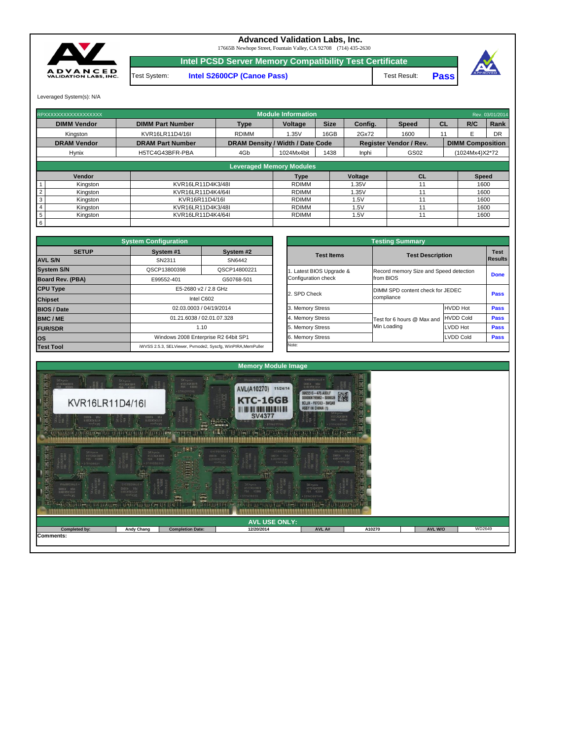Leveraged System(s): N/A

**Intel PCSD Server Memory Compatibility Test Certificate**



## **Advanced Validation Labs, Inc.**

17665B Newhope Street, Fountain Valley, CA 92708 (714) 435-2630

Test Result: **Pass**



Test System: **Intel S2600CP (Canoe Pass)**

|                    | RPXXXXXXXXXXXXXXXXXX          |                         |                                         | <b>Module Information</b>       |             |         | Rev. 03/01/2014               |           |                         |           |
|--------------------|-------------------------------|-------------------------|-----------------------------------------|---------------------------------|-------------|---------|-------------------------------|-----------|-------------------------|-----------|
| <b>DIMM Vendor</b> |                               | <b>DIMM Part Number</b> | Type                                    | <b>Voltage</b>                  | <b>Size</b> | Config. | <b>Speed</b>                  | <b>CL</b> | R/C                     | Rank      |
|                    | Kingston                      | KVR16LR11D4/16I         |                                         | 1.35V                           | 16GB        | 2Gx72   | 1600                          |           |                         | <b>DR</b> |
|                    | <b>DRAM Vendor</b>            | <b>DRAM Part Number</b> | <b>DRAM Density / Width / Date Code</b> |                                 |             |         | <b>Register Vendor / Rev.</b> |           | <b>DIMM Composition</b> |           |
|                    | <b>Hynix</b>                  | H5TC4G43BFR-PBA         | 4Gb<br>1438<br>1024Mx4bit               |                                 |             |         | GS02                          |           | (1024Mx4)X2*72          |           |
|                    |                               |                         |                                         |                                 |             |         |                               |           |                         |           |
|                    |                               |                         |                                         | <b>Leveraged Memory Modules</b> |             |         |                               |           |                         |           |
|                    | Vendor                        |                         |                                         | <b>Type</b>                     |             | Voltage | CL                            |           | <b>Speed</b>            |           |
|                    | Kingston                      | KVR16LR11D4K3/48I       |                                         | <b>RDIMM</b>                    |             | 1.35V   | 11                            |           | 1600                    |           |
|                    | Kingston<br>KVR16LR11D4K4/64I |                         |                                         | <b>RDIMM</b><br>1.35V           |             |         |                               | 1600      |                         |           |
| 3                  | Kingston                      | KVR16R11D4/16I          |                                         |                                 |             | 1.5V    | 11                            | 1600      |                         |           |
|                    | Kingston                      | KVR16LR11D4K3/48I       |                                         | <b>RDIMM</b>                    |             | 1.5V    | 11                            |           |                         | 1600      |
| $5\phantom{.0}$    | Kingston                      | KVR16LR11D4K4/64I       |                                         | <b>RDIMM</b>                    |             | 1.5V    | 11                            |           |                         | 1600      |
| $6\overline{6}$    |                               |                         |                                         |                                 |             |         |                               |           |                         |           |

|              | <b>System Configuration</b>                  |                                                             | <b>Testing Summary</b>  |                                        |                         |             |  |  |
|--------------|----------------------------------------------|-------------------------------------------------------------|-------------------------|----------------------------------------|-------------------------|-------------|--|--|
| <b>SETUP</b> | System #1                                    | System #2<br>SN2311<br>SN6442                               |                         |                                        | <b>Test Description</b> |             |  |  |
|              |                                              |                                                             |                         |                                        |                         |             |  |  |
|              | QSCP13800398                                 | QSCP14800221                                                | . Latest BIOS Upgrade & | Record memory Size and Speed detection |                         | <b>Done</b> |  |  |
| <b>BA)</b>   | G50768-501<br>E99552-401                     |                                                             | Configuration check     | from BIOS                              |                         |             |  |  |
|              | E5-2680 v2 / 2.8 GHz<br>Intel C602           |                                                             |                         | DIMM SPD content check for JEDEC       |                         |             |  |  |
|              |                                              |                                                             | 2. SPD Check            | compliance                             | <b>Pass</b>             |             |  |  |
|              |                                              | 02.03.0003 / 04/19/2014                                     | 3. Memory Stress        |                                        | <b>HVDD Hot</b>         | <b>Pass</b> |  |  |
|              |                                              | 01.21.6038 / 02.01.07.328                                   |                         | Test for 6 hours @ Max and             | <b>HVDD Cold</b>        | <b>Pass</b> |  |  |
|              | 1.10<br>Windows 2008 Enterprise R2 64bit SP1 |                                                             | 5. Memory Stress        | Min Loading                            | <b>LVDD Hot</b>         | <b>Pass</b> |  |  |
|              |                                              |                                                             | 6. Memory Stress        |                                        | <b>LVDD Cold</b>        |             |  |  |
|              |                                              | iWVSS 2.5.3. SELViewer, Pymode2, Syscfa, WinPIRA, MemPuller | Note:                   |                                        |                         |             |  |  |

|                                                    | <b>System Configuration</b> |                                                             | <b>Testing Summary</b> |                                        |                  |             |  |  |  |
|----------------------------------------------------|-----------------------------|-------------------------------------------------------------|------------------------|----------------------------------------|------------------|-------------|--|--|--|
| <b>SETUP</b>                                       | System #1                   | System #2                                                   |                        | <b>Test Description</b>                |                  | <b>Test</b> |  |  |  |
| <b>AVL S/N</b>                                     | SN2311                      | SN6442                                                      | <b>Test Items</b>      |                                        |                  |             |  |  |  |
| <b>System S/N</b>                                  | QSCP13800398                | QSCP14800221                                                |                        | Record memory Size and Speed detection |                  | <b>Done</b> |  |  |  |
| <b>Board Rev. (PBA)</b>                            | E99552-401<br>G50768-501    |                                                             | Configuration check    | from BIOS                              |                  |             |  |  |  |
| <b>CPU Type</b>                                    |                             | E5-2680 v2 / 2.8 GHz                                        |                        | DIMM SPD content check for JEDEC       |                  |             |  |  |  |
| <b>Chipset</b>                                     |                             | Intel C602                                                  | 2. SPD Check           | compliance                             |                  |             |  |  |  |
| <b>BIOS / Date</b>                                 |                             | 02.03.0003 / 04/19/2014                                     | 3. Memory Stress       |                                        | <b>HVDD Hot</b>  | <b>Pass</b> |  |  |  |
| <b>BMC/ME</b>                                      |                             | 01.21.6038 / 02.01.07.328                                   | 4. Memory Stress       | Test for 6 hours @ Max and             | <b>HVDD Cold</b> | <b>Pass</b> |  |  |  |
| <b>FUR/SDR</b>                                     | 1.10                        |                                                             | 5. Memory Stress       | Min Loading                            | LVDD Hot         | <b>Pass</b> |  |  |  |
| Windows 2008 Enterprise R2 64bit SP1<br><b>los</b> |                             | 6. Memory Stress                                            |                        | <b>LVDD Cold</b>                       |                  |             |  |  |  |
| <b>Test Tool</b>                                   |                             | iWVSS 2.5.3, SELViewer, Pvmode2, Syscfg, WinPIRA, MemPuller | Note:                  |                                        |                  |             |  |  |  |

| æ,<br>Ë<br>$H = 241426$<br>EHSG92UNAC .<br>SK hynix.<br><b>ATM</b><br><b>SK</b> hynix<br>H5TC4G43BFF<br>SVEED VON<br>HJELDSSSJISH<br>a<br>MSTC4G438FA<br>VBd<br><b>SHERD</b><br>I<br>438WS<br>13809993151<br><b>Size</b><br>жилизия<br>胃炎百年保険学生<br><b>DIMASBERHA</b><br>فاستعد<br>sociologica (of papaeosos) – pacoport<br>Lista (allega a alcesa de la sant segle<br>ш<br><b>ALL LES</b><br><b><i>Coci de l'all</i></b><br><b>CANADO</b><br><b>TIME</b><br><b>DIPO EIRICE CI AMMICI I</b><br>$G_{11}$ <sup>2</sup><br>$-25.5$<br>$-2071$ |                   |                         |            |        |        |                |        |  |  |  |  |  |
|-------------------------------------------------------------------------------------------------------------------------------------------------------------------------------------------------------------------------------------------------------------------------------------------------------------------------------------------------------------------------------------------------------------------------------------------------------------------------------------------------------------------------------------------|-------------------|-------------------------|------------|--------|--------|----------------|--------|--|--|--|--|--|
|                                                                                                                                                                                                                                                                                                                                                                                                                                                                                                                                           |                   |                         |            |        |        |                |        |  |  |  |  |  |
| <b>AVL USE ONLY:</b>                                                                                                                                                                                                                                                                                                                                                                                                                                                                                                                      |                   |                         |            |        |        |                |        |  |  |  |  |  |
| Completed by:                                                                                                                                                                                                                                                                                                                                                                                                                                                                                                                             | <b>Andy Chang</b> | <b>Completion Date:</b> | 12/20/2014 | AVL A# | A10270 | <b>AVL W/O</b> | WD2649 |  |  |  |  |  |
| Comments:                                                                                                                                                                                                                                                                                                                                                                                                                                                                                                                                 |                   |                         |            |        |        |                |        |  |  |  |  |  |
|                                                                                                                                                                                                                                                                                                                                                                                                                                                                                                                                           |                   |                         |            |        |        |                |        |  |  |  |  |  |
|                                                                                                                                                                                                                                                                                                                                                                                                                                                                                                                                           |                   |                         |            |        |        |                |        |  |  |  |  |  |